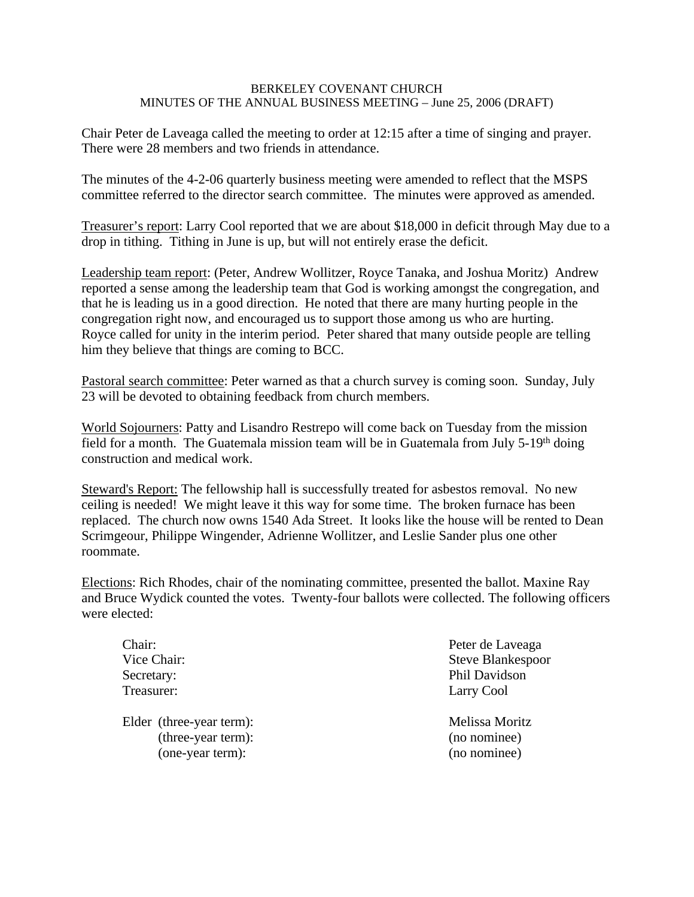## BERKELEY COVENANT CHURCH MINUTES OF THE ANNUAL BUSINESS MEETING – June 25, 2006 (DRAFT)

Chair Peter de Laveaga called the meeting to order at 12:15 after a time of singing and prayer. There were 28 members and two friends in attendance.

The minutes of the 4-2-06 quarterly business meeting were amended to reflect that the MSPS committee referred to the director search committee. The minutes were approved as amended.

Treasurer's report: Larry Cool reported that we are about \$18,000 in deficit through May due to a drop in tithing. Tithing in June is up, but will not entirely erase the deficit.

Leadership team report: (Peter, Andrew Wollitzer, Royce Tanaka, and Joshua Moritz) Andrew reported a sense among the leadership team that God is working amongst the congregation, and that he is leading us in a good direction. He noted that there are many hurting people in the congregation right now, and encouraged us to support those among us who are hurting. Royce called for unity in the interim period. Peter shared that many outside people are telling him they believe that things are coming to BCC.

Pastoral search committee: Peter warned as that a church survey is coming soon. Sunday, July 23 will be devoted to obtaining feedback from church members.

World Sojourners: Patty and Lisandro Restrepo will come back on Tuesday from the mission field for a month. The Guatemala mission team will be in Guatemala from July  $5\text{-}19\text{th}$  doing construction and medical work.

Steward's Report: The fellowship hall is successfully treated for asbestos removal. No new ceiling is needed! We might leave it this way for some time. The broken furnace has been replaced. The church now owns 1540 Ada Street. It looks like the house will be rented to Dean Scrimgeour, Philippe Wingender, Adrienne Wollitzer, and Leslie Sander plus one other roommate.

Elections: Rich Rhodes, chair of the nominating committee, presented the ballot. Maxine Ray and Bruce Wydick counted the votes. Twenty-four ballots were collected. The following officers were elected:

| Chair:                   | Peter de Laveaga         |
|--------------------------|--------------------------|
| Vice Chair:              | <b>Steve Blankespoor</b> |
| Secretary:               | Phil Davidson            |
| Treasurer:               | Larry Cool               |
| Elder (three-year term): | Melissa Moritz           |
| (three-year term):       | (no nominee)             |
| (one-year term):         | (no nominee)             |